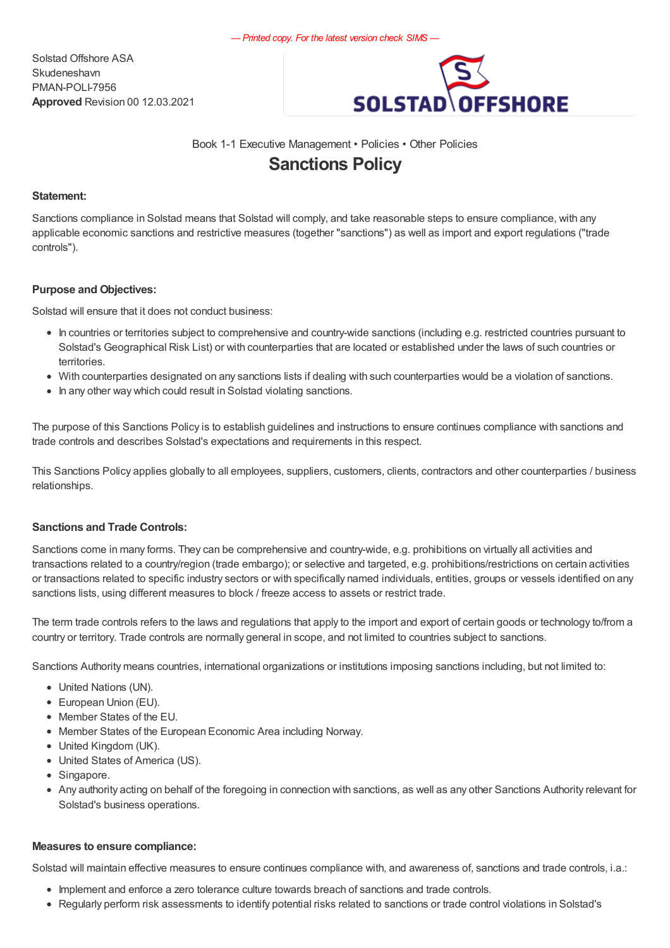Solstad Offshore ASA Skudeneshavn PMAN-POLI-7956 Approved Revision 00 12.03.2021



# Book 1-1 Executive Management • Policies • Other Policies Sanctions Policy

### Statement:

Sanctions compliance in Solstad means that Solstad will comply, and take reasonable steps to ensure compliance, with any applicable economic sanctions and restrictive measures (together "sanctions") as well as import and export regulations ("trade controls").

### Purpose and Objectives:

Solstad will ensure that it does not conduct business:

- In countries or territories subject to comprehensive and country-wide sanctions (including e.g. restricted countries pursuant to Solstad's Geographical Risk List) or with counterparties that are located or established under the laws of such countries or territories.
- With counterparties designated on any sanctions lists if dealing with such counterparties would be a violation of sanctions.
- In any other way which could result in Solstad violating sanctions.

The purpose of this Sanctions Policy is to establish guidelines and instructions to ensure continues compliance with sanctions and trade controls and describes Solstad's expectations and requirements in this respect.

This Sanctions Policy applies globally to all employees, suppliers, customers, clients, contractors and other counterparties / business relationships.

## Sanctions and Trade Controls:

Sanctions come in many forms. They can be comprehensive and country-wide, e.g. prohibitions on virtually all activities and transactions related to a country/region (trade embargo); or selective and targeted, e.g. prohibitions/restrictions on certain activities or transactions related to specific industry sectors or with specifically named individuals, entities, groups or vessels identified on any sanctions lists, using different measures to block / freeze access to assets or restrict trade.

The term trade controls refers to the laws and regulations that apply to the import and export of certain goods or technology to/from a country or territory. Trade controls are normally general in scope, and not limited to countries subject to sanctions.

Sanctions Authority means countries, international organizations or institutions imposing sanctions including, but not limited to:

- United Nations (UN).
- European Union (EU).
- Member States of the EU.
- Member States of the European Economic Area including Norway.
- United Kingdom (UK).
- United States of America (US).
- Singapore.
- Any authority acting on behalf of the foregoing in connection with sanctions, as well as any other Sanctions Authority relevant for Solstad's business operations.

#### Measures to ensure compliance:

Solstad will maintain effective measures to ensure continues compliance with, and awareness of, sanctions and trade controls, i.a.:

- Implement and enforce a zero tolerance culture towards breach of sanctions and trade controls.
- Regularly perform risk assessments to identify potential risks related to sanctions or trade control violations in Solstad's